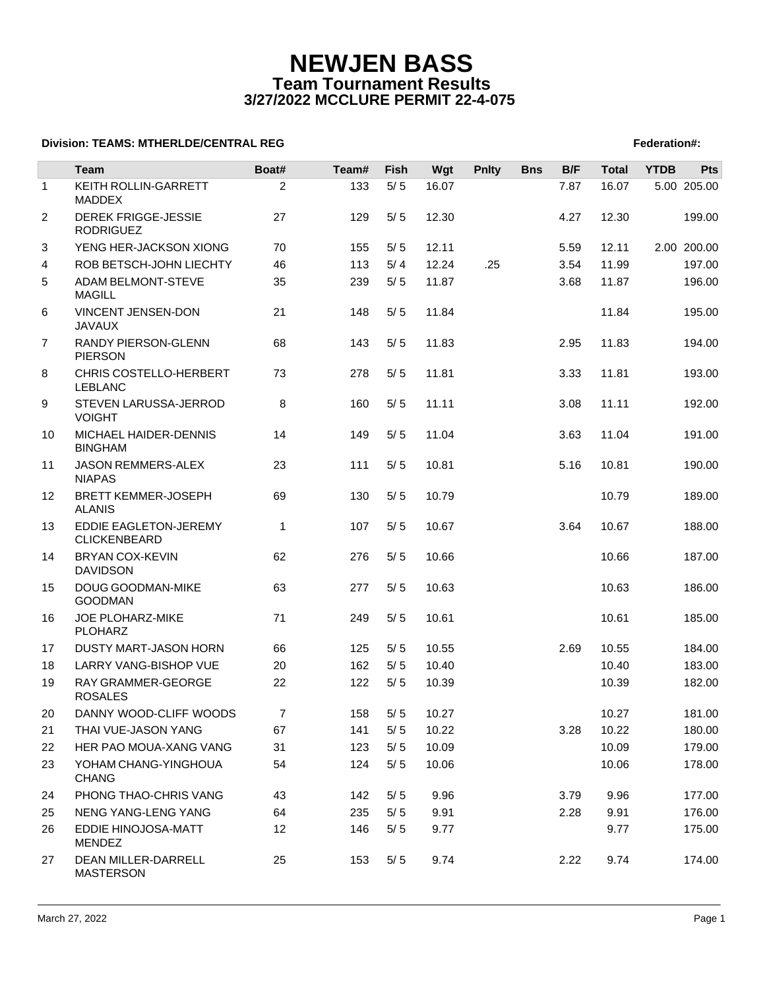# **NEWJEN BASS Team Tournament Results 3/27/2022 MCCLURE PERMIT 22-4-075**

## **Division: TEAMS: MTHERLDE/CENTRAL REG** Federation **Federation #:**  $\blacksquare$  Federation #:

|                | Team                                           | Boat#          | Team# | Fish  | Wgt   | <b>Pnlty</b> | <b>Bns</b> | B/F  | <b>Total</b> | <b>YTDB</b> | <b>Pts</b>  |
|----------------|------------------------------------------------|----------------|-------|-------|-------|--------------|------------|------|--------------|-------------|-------------|
| $\mathbf{1}$   | KEITH ROLLIN-GARRETT<br><b>MADDEX</b>          | $\overline{c}$ | 133   | $5/5$ | 16.07 |              |            | 7.87 | 16.07        |             | 5.00 205.00 |
| 2              | <b>DEREK FRIGGE-JESSIE</b><br><b>RODRIGUEZ</b> | 27             | 129   | 5/5   | 12.30 |              |            | 4.27 | 12.30        |             | 199.00      |
| 3              | YENG HER-JACKSON XIONG                         | 70             | 155   | 5/5   | 12.11 |              |            | 5.59 | 12.11        |             | 2.00 200.00 |
| 4              | ROB BETSCH-JOHN LIECHTY                        | 46             | 113   | 5/4   | 12.24 | .25          |            | 3.54 | 11.99        |             | 197.00      |
| 5              | ADAM BELMONT-STEVE<br><b>MAGILL</b>            | 35             | 239   | 5/5   | 11.87 |              |            | 3.68 | 11.87        |             | 196.00      |
| 6              | VINCENT JENSEN-DON<br><b>JAVAUX</b>            | 21             | 148   | 5/5   | 11.84 |              |            |      | 11.84        |             | 195.00      |
| $\overline{7}$ | RANDY PIERSON-GLENN<br><b>PIERSON</b>          | 68             | 143   | 5/5   | 11.83 |              |            | 2.95 | 11.83        |             | 194.00      |
| 8              | CHRIS COSTELLO-HERBERT<br><b>LEBLANC</b>       | 73             | 278   | 5/5   | 11.81 |              |            | 3.33 | 11.81        |             | 193.00      |
| 9              | STEVEN LARUSSA-JERROD<br><b>VOIGHT</b>         | 8              | 160   | 5/5   | 11.11 |              |            | 3.08 | 11.11        |             | 192.00      |
| 10             | MICHAEL HAIDER-DENNIS<br><b>BINGHAM</b>        | 14             | 149   | 5/5   | 11.04 |              |            | 3.63 | 11.04        |             | 191.00      |
| 11             | <b>JASON REMMERS-ALEX</b><br><b>NIAPAS</b>     | 23             | 111   | 5/5   | 10.81 |              |            | 5.16 | 10.81        |             | 190.00      |
| 12             | <b>BRETT KEMMER-JOSEPH</b><br><b>ALANIS</b>    | 69             | 130   | 5/5   | 10.79 |              |            |      | 10.79        |             | 189.00      |
| 13             | EDDIE EAGLETON-JEREMY<br><b>CLICKENBEARD</b>   | 1              | 107   | 5/5   | 10.67 |              |            | 3.64 | 10.67        |             | 188.00      |
| 14             | <b>BRYAN COX-KEVIN</b><br><b>DAVIDSON</b>      | 62             | 276   | 5/5   | 10.66 |              |            |      | 10.66        |             | 187.00      |
| 15             | DOUG GOODMAN-MIKE<br><b>GOODMAN</b>            | 63             | 277   | 5/5   | 10.63 |              |            |      | 10.63        |             | 186.00      |
| 16             | JOE PLOHARZ-MIKE<br><b>PLOHARZ</b>             | 71             | 249   | 5/5   | 10.61 |              |            |      | 10.61        |             | 185.00      |
| 17             | DUSTY MART-JASON HORN                          | 66             | 125   | 5/5   | 10.55 |              |            | 2.69 | 10.55        |             | 184.00      |
| 18             | LARRY VANG-BISHOP VUE                          | 20             | 162   | 5/5   | 10.40 |              |            |      | 10.40        |             | 183.00      |
| 19             | RAY GRAMMER-GEORGE<br><b>ROSALES</b>           | 22             | 122   | 5/5   | 10.39 |              |            |      | 10.39        |             | 182.00      |
| 20             | DANNY WOOD-CLIFF WOODS                         | $\overline{7}$ | 158   | 5/5   | 10.27 |              |            |      | 10.27        |             | 181.00      |
| 21             | THAI VUE-JASON YANG                            | 67             | 141   | 5/5   | 10.22 |              |            | 3.28 | 10.22        |             | 180.00      |
| 22             | HER PAO MOUA-XANG VANG                         | 31             | 123   | 5/5   | 10.09 |              |            |      | 10.09        |             | 179.00      |
| 23             | YOHAM CHANG-YINGHOUA<br><b>CHANG</b>           | 54             | 124   | 5/5   | 10.06 |              |            |      | 10.06        |             | 178.00      |
| 24             | PHONG THAO-CHRIS VANG                          | 43             | 142   | 5/5   | 9.96  |              |            | 3.79 | 9.96         |             | 177.00      |
| 25             | NENG YANG-LENG YANG                            | 64             | 235   | 5/5   | 9.91  |              |            | 2.28 | 9.91         |             | 176.00      |
| 26             | EDDIE HINOJOSA-MATT<br><b>MENDEZ</b>           | 12             | 146   | 5/5   | 9.77  |              |            |      | 9.77         |             | 175.00      |
| 27             | DEAN MILLER-DARRELL<br><b>MASTERSON</b>        | 25             | 153   | 5/5   | 9.74  |              |            | 2.22 | 9.74         |             | 174.00      |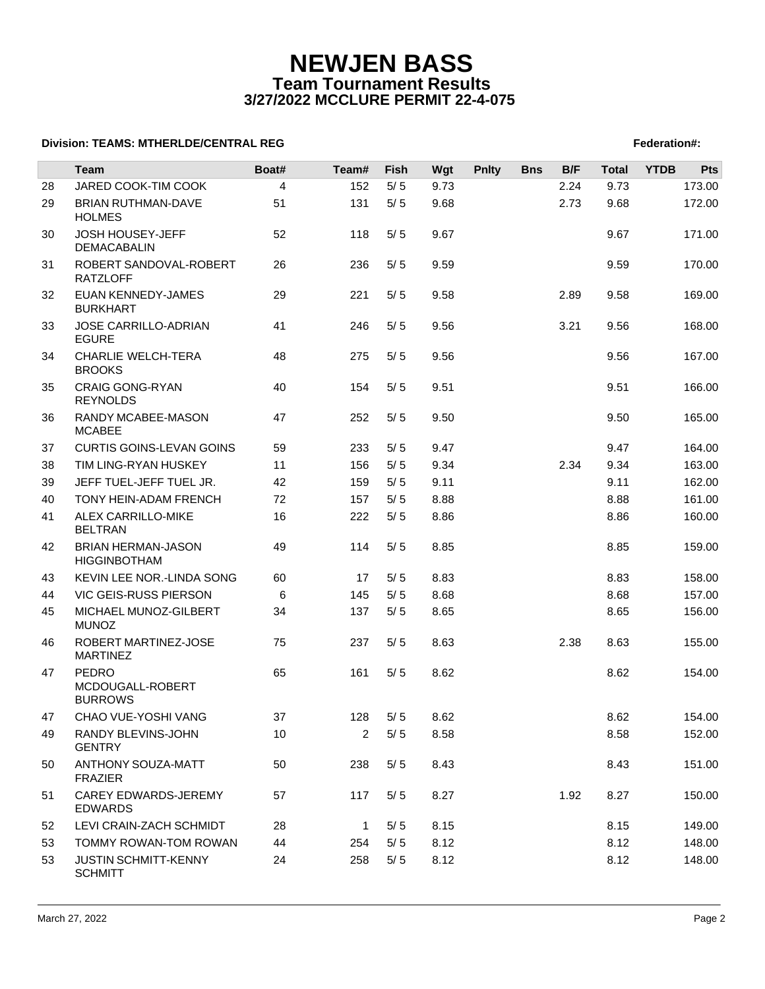# **NEWJEN BASS Team Tournament Results 3/27/2022 MCCLURE PERMIT 22-4-075**

### **Division: TEAMS: MTHERLDE/CENTRAL REG** Federation **Federation #:**  $\blacksquare$  Federation #:

|    | <b>Team</b>                                        | Boat#          | Team#          | <b>Fish</b> | Wgt  | <b>Pnlty</b> | <b>Bns</b> | B/F  | <b>Total</b> | <b>YTDB</b> | Pts    |
|----|----------------------------------------------------|----------------|----------------|-------------|------|--------------|------------|------|--------------|-------------|--------|
| 28 | JARED COOK-TIM COOK                                | $\overline{4}$ | 152            | 5/5         | 9.73 |              |            | 2.24 | 9.73         |             | 173.00 |
| 29 | <b>BRIAN RUTHMAN-DAVE</b><br><b>HOLMES</b>         | 51             | 131            | 5/5         | 9.68 |              |            | 2.73 | 9.68         |             | 172.00 |
| 30 | <b>JOSH HOUSEY-JEFF</b><br>DEMACABALIN             | 52             | 118            | 5/5         | 9.67 |              |            |      | 9.67         |             | 171.00 |
| 31 | ROBERT SANDOVAL-ROBERT<br><b>RATZLOFF</b>          | 26             | 236            | 5/5         | 9.59 |              |            |      | 9.59         |             | 170.00 |
| 32 | <b>EUAN KENNEDY-JAMES</b><br><b>BURKHART</b>       | 29             | 221            | 5/5         | 9.58 |              |            | 2.89 | 9.58         |             | 169.00 |
| 33 | <b>JOSE CARRILLO-ADRIAN</b><br><b>EGURE</b>        | 41             | 246            | 5/5         | 9.56 |              |            | 3.21 | 9.56         |             | 168.00 |
| 34 | <b>CHARLIE WELCH-TERA</b><br><b>BROOKS</b>         | 48             | 275            | 5/5         | 9.56 |              |            |      | 9.56         |             | 167.00 |
| 35 | <b>CRAIG GONG-RYAN</b><br><b>REYNOLDS</b>          | 40             | 154            | 5/5         | 9.51 |              |            |      | 9.51         |             | 166.00 |
| 36 | RANDY MCABEE-MASON<br><b>MCABEE</b>                | 47             | 252            | 5/5         | 9.50 |              |            |      | 9.50         |             | 165.00 |
| 37 | <b>CURTIS GOINS-LEVAN GOINS</b>                    | 59             | 233            | 5/5         | 9.47 |              |            |      | 9.47         |             | 164.00 |
| 38 | TIM LING-RYAN HUSKEY                               | 11             | 156            | 5/5         | 9.34 |              |            | 2.34 | 9.34         |             | 163.00 |
| 39 | JEFF TUEL-JEFF TUEL JR.                            | 42             | 159            | 5/5         | 9.11 |              |            |      | 9.11         |             | 162.00 |
| 40 | TONY HEIN-ADAM FRENCH                              | 72             | 157            | 5/5         | 8.88 |              |            |      | 8.88         |             | 161.00 |
| 41 | ALEX CARRILLO-MIKE<br><b>BELTRAN</b>               | 16             | 222            | $5/5$       | 8.86 |              |            |      | 8.86         |             | 160.00 |
| 42 | <b>BRIAN HERMAN-JASON</b><br><b>HIGGINBOTHAM</b>   | 49             | 114            | 5/5         | 8.85 |              |            |      | 8.85         |             | 159.00 |
| 43 | KEVIN LEE NOR.-LINDA SONG                          | 60             | 17             | 5/5         | 8.83 |              |            |      | 8.83         |             | 158.00 |
| 44 | <b>VIC GEIS-RUSS PIERSON</b>                       | 6              | 145            | 5/5         | 8.68 |              |            |      | 8.68         |             | 157.00 |
| 45 | MICHAEL MUNOZ-GILBERT<br><b>MUNOZ</b>              | 34             | 137            | 5/5         | 8.65 |              |            |      | 8.65         |             | 156.00 |
| 46 | ROBERT MARTINEZ-JOSE<br><b>MARTINEZ</b>            | 75             | 237            | 5/5         | 8.63 |              |            | 2.38 | 8.63         |             | 155.00 |
| 47 | <b>PEDRO</b><br>MCDOUGALL-ROBERT<br><b>BURROWS</b> | 65             | 161            | 5/5         | 8.62 |              |            |      | 8.62         |             | 154.00 |
| 47 | CHAO VUE-YOSHI VANG                                | 37             | 128            | $5/5$       | 8.62 |              |            |      | 8.62         |             | 154.00 |
| 49 | RANDY BLEVINS-JOHN<br><b>GENTRY</b>                | 10             | $\overline{2}$ | 5/5         | 8.58 |              |            |      | 8.58         |             | 152.00 |
| 50 | ANTHONY SOUZA-MATT<br><b>FRAZIER</b>               | 50             | 238            | $5/5$       | 8.43 |              |            |      | 8.43         |             | 151.00 |
| 51 | CAREY EDWARDS-JEREMY<br><b>EDWARDS</b>             | 57             | 117            | 5/5         | 8.27 |              |            | 1.92 | 8.27         |             | 150.00 |
| 52 | LEVI CRAIN-ZACH SCHMIDT                            | 28             | $\mathbf{1}$   | 5/5         | 8.15 |              |            |      | 8.15         |             | 149.00 |
| 53 | TOMMY ROWAN-TOM ROWAN                              | 44             | 254            | 5/5         | 8.12 |              |            |      | 8.12         |             | 148.00 |
| 53 | <b>JUSTIN SCHMITT-KENNY</b><br><b>SCHMITT</b>      | 24             | 258            | 5/5         | 8.12 |              |            |      | 8.12         |             | 148.00 |